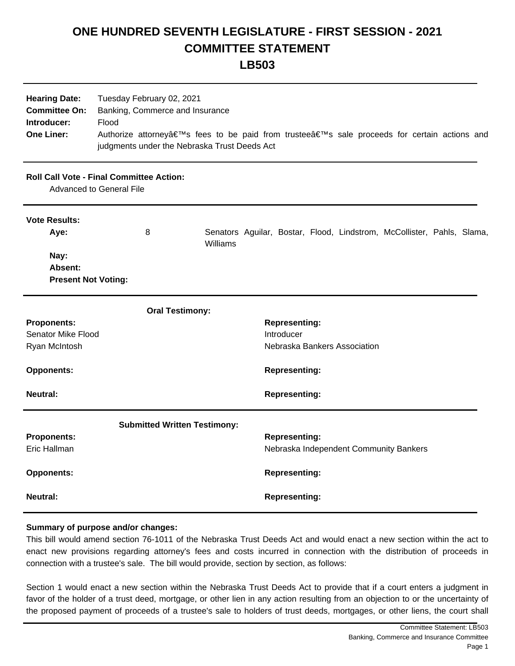## **ONE HUNDRED SEVENTH LEGISLATURE - FIRST SESSION - 2021 COMMITTEE STATEMENT**

| <b>Hearing Date:</b><br><b>Committee On:</b><br>Introducer:<br><b>One Liner:</b> | Tuesday February 02, 2021<br>Banking, Commerce and Insurance<br>Flood<br>Authorize attorney's fees to be paid from trustee's sale proceeds for certain actions and<br>judgments under the Nebraska Trust Deeds Act |          |  |                      |  |                              |                                                                        |  |  |
|----------------------------------------------------------------------------------|--------------------------------------------------------------------------------------------------------------------------------------------------------------------------------------------------------------------|----------|--|----------------------|--|------------------------------|------------------------------------------------------------------------|--|--|
|                                                                                  | <b>Roll Call Vote - Final Committee Action:</b><br><b>Advanced to General File</b>                                                                                                                                 |          |  |                      |  |                              |                                                                        |  |  |
| <b>Vote Results:</b><br>Aye:                                                     | 8                                                                                                                                                                                                                  | Williams |  |                      |  |                              | Senators Aguilar, Bostar, Flood, Lindstrom, McCollister, Pahls, Slama, |  |  |
| Nay:<br>Absent:<br><b>Present Not Voting:</b>                                    |                                                                                                                                                                                                                    |          |  |                      |  |                              |                                                                        |  |  |
|                                                                                  | <b>Oral Testimony:</b>                                                                                                                                                                                             |          |  |                      |  |                              |                                                                        |  |  |
| <b>Proponents:</b>                                                               |                                                                                                                                                                                                                    |          |  | <b>Representing:</b> |  |                              |                                                                        |  |  |
| Senator Mike Flood                                                               |                                                                                                                                                                                                                    |          |  | Introducer           |  |                              |                                                                        |  |  |
| Ryan McIntosh                                                                    |                                                                                                                                                                                                                    |          |  |                      |  | Nebraska Bankers Association |                                                                        |  |  |
| <b>Opponents:</b>                                                                |                                                                                                                                                                                                                    |          |  | <b>Representing:</b> |  |                              |                                                                        |  |  |
| <b>Neutral:</b>                                                                  |                                                                                                                                                                                                                    |          |  | <b>Representing:</b> |  |                              |                                                                        |  |  |
|                                                                                  | <b>Submitted Written Testimony:</b>                                                                                                                                                                                |          |  |                      |  |                              |                                                                        |  |  |
| <b>Proponents:</b><br>Eric Hallman                                               |                                                                                                                                                                                                                    |          |  | <b>Representing:</b> |  |                              | Nebraska Independent Community Bankers                                 |  |  |
| <b>Opponents:</b>                                                                |                                                                                                                                                                                                                    |          |  | <b>Representing:</b> |  |                              |                                                                        |  |  |
| <b>Neutral:</b>                                                                  |                                                                                                                                                                                                                    |          |  | <b>Representing:</b> |  |                              |                                                                        |  |  |

## **Summary of purpose and/or changes:**

This bill would amend section 76-1011 of the Nebraska Trust Deeds Act and would enact a new section within the act to enact new provisions regarding attorney's fees and costs incurred in connection with the distribution of proceeds in connection with a trustee's sale. The bill would provide, section by section, as follows:

Section 1 would enact a new section within the Nebraska Trust Deeds Act to provide that if a court enters a judgment in favor of the holder of a trust deed, mortgage, or other lien in any action resulting from an objection to or the uncertainty of the proposed payment of proceeds of a trustee's sale to holders of trust deeds, mortgages, or other liens, the court shall